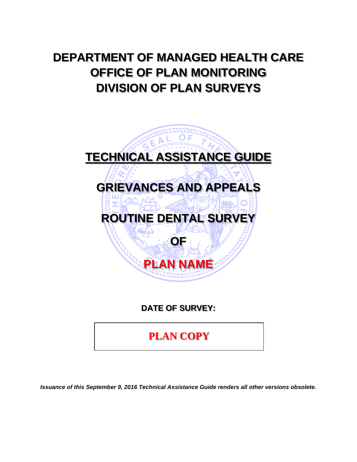# **DEPARTMENT OF MANAGED HEALTH CARE OFFICE OF PLAN MONITORING DIVISION OF PLAN SURVEYS**



**DATE OF SURVEY:** 

**PLAN COPY**

*Issuance of this September 9, 2016 Technical Assistance Guide renders all other versions obsolete.*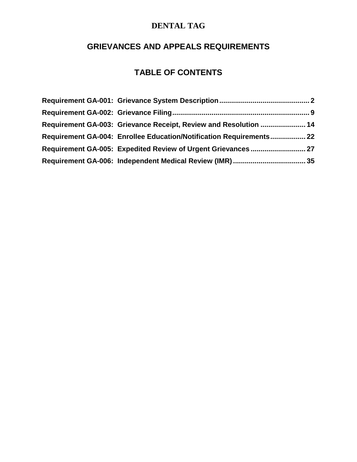# **GRIEVANCES AND APPEALS REQUIREMENTS**

# **TABLE OF CONTENTS**

| Requirement GA-003: Grievance Receipt, Review and Resolution  14    |  |
|---------------------------------------------------------------------|--|
| Requirement GA-004: Enrollee Education/Notification Requirements 22 |  |
|                                                                     |  |
|                                                                     |  |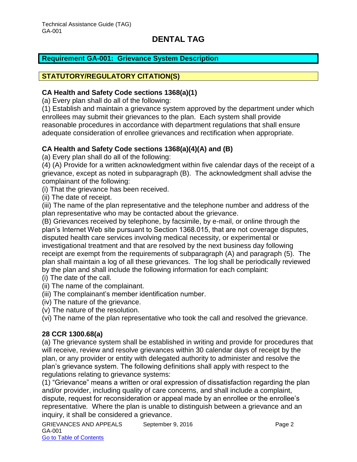#### <span id="page-2-0"></span>**Requirement GA-001: Grievance System Description**

#### **STATUTORY/REGULATORY CITATION(S)**

#### **CA Health and Safety Code sections 1368(a)(1)**

(a) Every plan shall do all of the following:

(1) Establish and maintain a grievance system approved by the department under which enrollees may submit their grievances to the plan. Each system shall provide reasonable procedures in accordance with department regulations that shall ensure adequate consideration of enrollee grievances and rectification when appropriate.

#### **CA Health and Safety Code sections 1368(a)(4)(A) and (B)**

(a) Every plan shall do all of the following:

(4) (A) Provide for a written acknowledgment within five calendar days of the receipt of a grievance, except as noted in subparagraph (B). The acknowledgment shall advise the complainant of the following:

(i) That the grievance has been received.

(ii) The date of receipt.

(iii) The name of the plan representative and the telephone number and address of the plan representative who may be contacted about the grievance.

(B) Grievances received by telephone, by facsimile, by e-mail, or online through the plan's Internet Web site pursuant to Section 1368.015, that are not coverage disputes, disputed health care services involving medical necessity, or experimental or investigational treatment and that are resolved by the next business day following receipt are exempt from the requirements of subparagraph (A) and paragraph (5). The plan shall maintain a log of all these grievances. The log shall be periodically reviewed by the plan and shall include the following information for each complaint:

- (i) The date of the call.
- (ii) The name of the complainant.
- (iii) The complainant's member identification number.
- (iv) The nature of the grievance.
- (v) The nature of the resolution.

(vi) The name of the plan representative who took the call and resolved the grievance.

#### **28 CCR 1300.68(a)**

(a) The grievance system shall be established in writing and provide for procedures that will receive, review and resolve grievances within 30 calendar days of receipt by the plan, or any provider or entity with delegated authority to administer and resolve the plan's grievance system. The following definitions shall apply with respect to the regulations relating to grievance systems:

(1) "Grievance" means a written or oral expression of dissatisfaction regarding the plan and/or provider, including quality of care concerns, and shall include a complaint, dispute, request for reconsideration or appeal made by an enrollee or the enrollee's representative*.* Where the plan is unable to distinguish between a grievance and an inquiry, it shall be considered a grievance.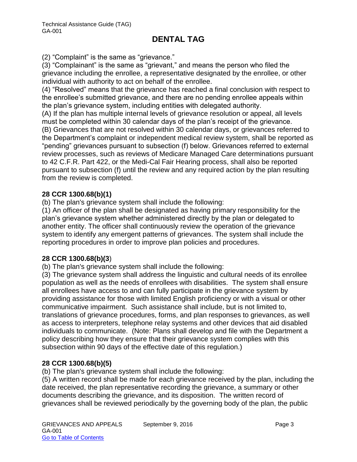(2) "Complaint" is the same as "grievance."

(3) "Complainant" is the same as "grievant," and means the person who filed the grievance including the enrollee, a representative designated by the enrollee, or other individual with authority to act on behalf of the enrollee.

(4) "Resolved" means that the grievance has reached a final conclusion with respect to the enrollee's submitted grievance, and there are no pending enrollee appeals within the plan's grievance system, including entities with delegated authority.

(A) If the plan has multiple internal levels of grievance resolution or appeal, all levels must be completed within 30 calendar days of the plan's receipt of the grievance. (B) Grievances that are not resolved within 30 calendar days, or grievances referred to the Department's complaint or independent medical review system, shall be reported as "pending" grievances pursuant to subsection (f) below. Grievances referred to external review processes, such as reviews of Medicare Managed Care determinations pursuant to 42 C.F.R. Part 422, or the Medi-Cal Fair Hearing process, shall also be reported pursuant to subsection (f) until the review and any required action by the plan resulting

# **28 CCR 1300.68(b)(1)**

from the review is completed.

(b) The plan's grievance system shall include the following:

(1) An officer of the plan shall be designated as having primary responsibility for the plan's grievance system whether administered directly by the plan or delegated to another entity. The officer shall continuously review the operation of the grievance system to identify any emergent patterns of grievances. The system shall include the reporting procedures in order to improve plan policies and procedures.

### **28 CCR 1300.68(b)(3**)

(b) The plan's grievance system shall include the following:

(3) The grievance system shall address the linguistic and cultural needs of its enrollee population as well as the needs of enrollees with disabilities. The system shall ensure all enrollees have access to and can fully participate in the grievance system by providing assistance for those with limited English proficiency or with a visual or other communicative impairment. Such assistance shall include, but is not limited to, translations of grievance procedures, forms, and plan responses to grievances, as well as access to interpreters, telephone relay systems and other devices that aid disabled individuals to communicate. (Note: Plans shall develop and file with the Department a policy describing how they ensure that their grievance system complies with this subsection within 90 days of the effective date of this regulation.)

### **28 CCR 1300.68(b)(5)**

(b) The plan's grievance system shall include the following:

(5) A written record shall be made for each grievance received by the plan, including the date received, the plan representative recording the grievance, a summary or other documents describing the grievance, and its disposition. The written record of grievances shall be reviewed periodically by the governing body of the plan, the public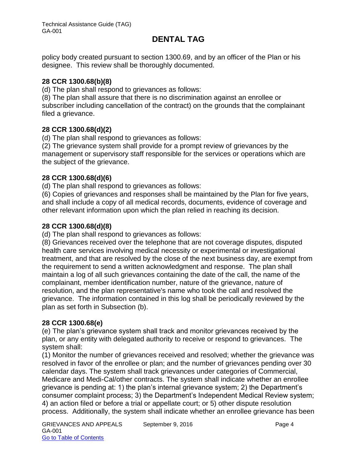policy body created pursuant to section 1300.69, and by an officer of the Plan or his designee. This review shall be thoroughly documented.

#### **28 CCR 1300.68(b)(8)**

(d) The plan shall respond to grievances as follows:

(8) The plan shall assure that there is no discrimination against an enrollee or subscriber including cancellation of the contract) on the grounds that the complainant filed a grievance.

#### **28 CCR 1300.68(d)(2)**

(d) The plan shall respond to grievances as follows:

(2) The grievance system shall provide for a prompt review of grievances by the management or supervisory staff responsible for the services or operations which are the subject of the grievance.

### **28 CCR 1300.68(d)(6)**

(d) The plan shall respond to grievances as follows:

(6) Copies of grievances and responses shall be maintained by the Plan for five years, and shall include a copy of all medical records, documents, evidence of coverage and other relevant information upon which the plan relied in reaching its decision.

#### **28 CCR 1300.68(d)(8)**

(d) The plan shall respond to grievances as follows:

(8) Grievances received over the telephone that are not coverage disputes, disputed health care services involving medical necessity or experimental or investigational treatment, and that are resolved by the close of the next business day, are exempt from the requirement to send a written acknowledgment and response. The plan shall maintain a log of all such grievances containing the date of the call, the name of the complainant, member identification number, nature of the grievance, nature of resolution, and the plan representative's name who took the call and resolved the grievance. The information contained in this log shall be periodically reviewed by the plan as set forth in Subsection (b).

### **28 CCR 1300.68(e)**

(e) The plan's grievance system shall track and monitor grievances received by the plan, or any entity with delegated authority to receive or respond to grievances. The system shall:

(1) Monitor the number of grievances received and resolved; whether the grievance was resolved in favor of the enrollee or plan; and the number of grievances pending over 30 calendar days. The system shall track grievances under categories of Commercial, Medicare and Medi-Cal/other contracts. The system shall indicate whether an enrollee grievance is pending at: 1) the plan's internal grievance system; 2) the Department's consumer complaint process; 3) the Department's Independent Medical Review system; 4) an action filed or before a trial or appellate court; or 5) other dispute resolution process. Additionally, the system shall indicate whether an enrollee grievance has been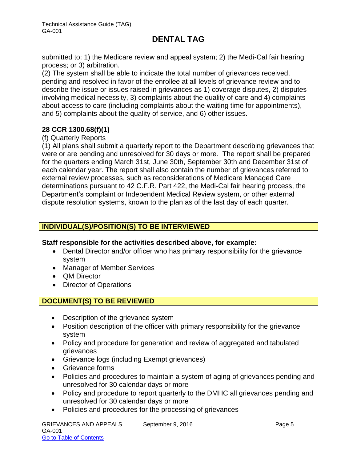submitted to: 1) the Medicare review and appeal system; 2) the Medi-Cal fair hearing process; or 3) arbitration.

(2) The system shall be able to indicate the total number of grievances received, pending and resolved in favor of the enrollee at all levels of grievance review and to describe the issue or issues raised in grievances as 1) coverage disputes, 2) disputes involving medical necessity, 3) complaints about the quality of care and 4) complaints about access to care (including complaints about the waiting time for appointments), and 5) complaints about the quality of service, and 6) other issues.

### **28 CCR 1300.68(f)(1)**

#### (f) Quarterly Reports

(1) All plans shall submit a quarterly report to the Department describing grievances that were or are pending and unresolved for 30 days or more. The report shall be prepared for the quarters ending March 31st, June 30th, September 30th and December 31st of each calendar year. The report shall also contain the number of grievances referred to external review processes, such as reconsiderations of Medicare Managed Care determinations pursuant to 42 C.F.R. Part 422, the Medi-Cal fair hearing process, the Department's complaint or Independent Medical Review system, or other external dispute resolution systems, known to the plan as of the last day of each quarter.

### **INDIVIDUAL(S)/POSITION(S) TO BE INTERVIEWED**

### **Staff responsible for the activities described above, for example:**

- Dental Director and/or officer who has primary responsibility for the grievance system
- Manager of Member Services
- QM Director
- Director of Operations

# **DOCUMENT(S) TO BE REVIEWED**

- Description of the grievance system
- Position description of the officer with primary responsibility for the grievance system
- Policy and procedure for generation and review of aggregated and tabulated grievances
- Grievance logs (including Exempt grievances)
- Grievance forms
- Policies and procedures to maintain a system of aging of grievances pending and unresolved for 30 calendar days or more
- Policy and procedure to report quarterly to the DMHC all grievances pending and unresolved for 30 calendar days or more
- Policies and procedures for the processing of grievances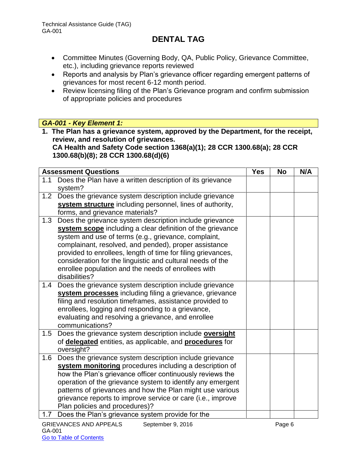- Committee Minutes (Governing Body, QA, Public Policy, Grievance Committee, etc.), including grievance reports reviewed
- Reports and analysis by Plan's grievance officer regarding emergent patterns of grievances for most recent 6-12 month period.
- Review licensing filing of the Plan's Grievance program and confirm submission of appropriate policies and procedures

### *GA-001 - Key Element 1:*

**1. The Plan has a grievance system, approved by the Department, for the receipt, review, and resolution of grievances. CA Health and Safety Code section 1368(a)(1); 28 CCR 1300.68(a); 28 CCR 1300.68(b)(8); 28 CCR 1300.68(d)(6)**

| <b>Assessment Questions</b>                                                          | <b>Yes</b> | <b>No</b> | N/A |
|--------------------------------------------------------------------------------------|------------|-----------|-----|
| Does the Plan have a written description of its grievance<br>1.1<br>system?          |            |           |     |
| Does the grievance system description include grievance<br>1.2                       |            |           |     |
| system structure including personnel, lines of authority,                            |            |           |     |
| forms, and grievance materials?                                                      |            |           |     |
| Does the grievance system description include grievance<br>1.3                       |            |           |     |
| system scope including a clear definition of the grievance                           |            |           |     |
| system and use of terms (e.g., grievance, complaint,                                 |            |           |     |
| complainant, resolved, and pended), proper assistance                                |            |           |     |
| provided to enrollees, length of time for filing grievances,                         |            |           |     |
| consideration for the linguistic and cultural needs of the                           |            |           |     |
| enrollee population and the needs of enrollees with                                  |            |           |     |
| disabilities?                                                                        |            |           |     |
| Does the grievance system description include grievance<br>1.4                       |            |           |     |
| system processes including filing a grievance, grievance                             |            |           |     |
| filing and resolution timeframes, assistance provided to                             |            |           |     |
| enrollees, logging and responding to a grievance,                                    |            |           |     |
| evaluating and resolving a grievance, and enrollee                                   |            |           |     |
| communications?                                                                      |            |           |     |
| Does the grievance system description include oversight<br>1.5                       |            |           |     |
| of <b>delegated</b> entities, as applicable, and <b>procedures</b> for<br>oversight? |            |           |     |
| 1.6<br>Does the grievance system description include grievance                       |            |           |     |
| system monitoring procedures including a description of                              |            |           |     |
| how the Plan's grievance officer continuously reviews the                            |            |           |     |
| operation of the grievance system to identify any emergent                           |            |           |     |
| patterns of grievances and how the Plan might use various                            |            |           |     |
| grievance reports to improve service or care (i.e., improve                          |            |           |     |
| Plan policies and procedures)?                                                       |            |           |     |
| Does the Plan's grievance system provide for the<br>1.7                              |            |           |     |
| <b>GRIEVANCES AND APPEALS</b><br>September 9, 2016                                   |            | Page 6    |     |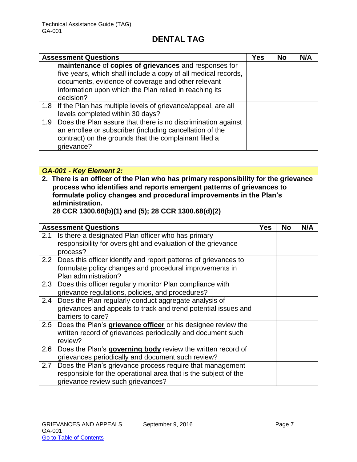|     | <b>Assessment Questions</b>                                      | Yes | <b>No</b> | N/A |
|-----|------------------------------------------------------------------|-----|-----------|-----|
|     | maintenance of copies of grievances and responses for            |     |           |     |
|     | five years, which shall include a copy of all medical records,   |     |           |     |
|     | documents, evidence of coverage and other relevant               |     |           |     |
|     | information upon which the Plan relied in reaching its           |     |           |     |
|     | decision?                                                        |     |           |     |
|     | 1.8 If the Plan has multiple levels of grievance/appeal, are all |     |           |     |
|     | levels completed within 30 days?                                 |     |           |     |
| 1.9 | Does the Plan assure that there is no discrimination against     |     |           |     |
|     | an enrollee or subscriber (including cancellation of the         |     |           |     |
|     | contract) on the grounds that the complainant filed a            |     |           |     |
|     | grievance?                                                       |     |           |     |

*GA-001 - Key Element 2:*

**2. There is an officer of the Plan who has primary responsibility for the grievance process who identifies and reports emergent patterns of grievances to formulate policy changes and procedural improvements in the Plan's administration.** 

**28 CCR 1300.68(b)(1) and (5); 28 CCR 1300.68(d)(2)**

|     | <b>Assessment Questions</b>                                                                                                                                       | <b>Yes</b> | No | N/A |
|-----|-------------------------------------------------------------------------------------------------------------------------------------------------------------------|------------|----|-----|
| 2.1 | Is there a designated Plan officer who has primary<br>responsibility for oversight and evaluation of the grievance<br>process?                                    |            |    |     |
|     | 2.2 Does this officer identify and report patterns of grievances to<br>formulate policy changes and procedural improvements in<br>Plan administration?            |            |    |     |
|     | 2.3 Does this officer regularly monitor Plan compliance with<br>grievance regulations, policies, and procedures?                                                  |            |    |     |
| 2.4 | Does the Plan regularly conduct aggregate analysis of<br>grievances and appeals to track and trend potential issues and<br>barriers to care?                      |            |    |     |
|     | 2.5 Does the Plan's grievance officer or his designee review the<br>written record of grievances periodically and document such<br>review?                        |            |    |     |
| 2.6 | Does the Plan's governing body review the written record of<br>grievances periodically and document such review?                                                  |            |    |     |
| 2.7 | Does the Plan's grievance process require that management<br>responsible for the operational area that is the subject of the<br>grievance review such grievances? |            |    |     |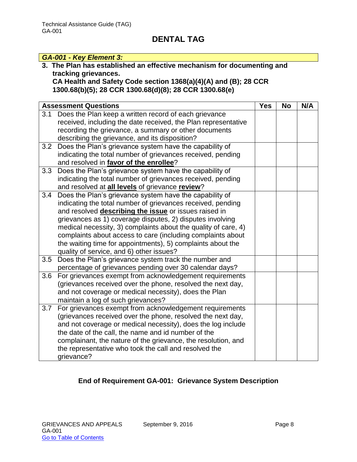#### *GA-001 - Key Element 3:* **3. The Plan has established an effective mechanism for documenting and tracking grievances. CA Health and Safety Code section 1368(a)(4)(A) and (B); 28 CCR 1300.68(b)(5); 28 CCR 1300.68(d)(8); 28 CCR 1300.68(e)** Assessment Questions **No. 2.1. In the UPS Assessment Questions** 3.1 Does the Plan keep a written record of each grievance received, including the date received, the Plan representative recording the grievance, a summary or other documents describing the grievance, and its disposition? 3.2 Does the Plan's grievance system have the capability of indicating the total number of grievances received, pending and resolved in **favor of the enrollee**? 3.3 Does the Plan's grievance system have the capability of indicating the total number of grievances received, pending and resolved at **all levels** of grievance **review**? 3.4 Does the Plan's grievance system have the capability of indicating the total number of grievances received, pending and resolved **describing the issue** or issues raised in grievances as 1) coverage disputes, 2) disputes involving medical necessity, 3) complaints about the quality of care, 4) complaints about access to care (including complaints about the waiting time for appointments), 5) complaints about the quality of service, and 6) other issues? 3.5 Does the Plan's grievance system track the number and percentage of grievances pending over 30 calendar days? 3.6 For grievances exempt from acknowledgement requirements (grievances received over the phone, resolved the next day, and not coverage or medical necessity), does the Plan maintain a log of such grievances? 3.7 For grievances exempt from acknowledgement requirements (grievances received over the phone, resolved the next day, and not coverage or medical necessity), does the log include the date of the call, the name and id number of the complainant, the nature of the grievance, the resolution, and the representative who took the call and resolved the grievance?

# **End of Requirement GA-001: Grievance System Description**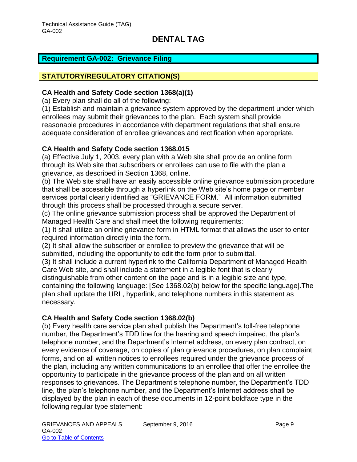### <span id="page-9-0"></span>**Requirement GA-002: Grievance Filing**

#### **STATUTORY/REGULATORY CITATION(S)**

#### **CA Health and Safety Code section 1368(a)(1)**

(a) Every plan shall do all of the following:

(1) Establish and maintain a grievance system approved by the department under which enrollees may submit their grievances to the plan. Each system shall provide reasonable procedures in accordance with department regulations that shall ensure adequate consideration of enrollee grievances and rectification when appropriate.

#### **CA Health and Safety Code section 1368.015**

(a) Effective July 1, 2003, every plan with a Web site shall provide an online form through its Web site that subscribers or enrollees can use to file with the plan a grievance, as described in Section 1368, online.

(b) The Web site shall have an easily accessible online grievance submission procedure that shall be accessible through a hyperlink on the Web site's home page or member services portal clearly identified as "GRIEVANCE FORM." All information submitted through this process shall be processed through a secure server.

(c) The online grievance submission process shall be approved the Department of Managed Health Care and shall meet the following requirements:

(1) It shall utilize an online grievance form in HTML format that allows the user to enter required information directly into the form.

(2) It shall allow the subscriber or enrollee to preview the grievance that will be submitted, including the opportunity to edit the form prior to submittal.

(3) It shall include a current hyperlink to the California Department of Managed Health Care Web site, and shall include a statement in a legible font that is clearly distinguishable from other content on the page and is in a legible size and type, containing the following language: [*See* 1368.02(b) below for the specific language].The plan shall update the URL, hyperlink, and telephone numbers in this statement as necessary.

#### **CA Health and Safety Code section 1368.02(b)**

(b) Every health care service plan shall publish the Department's toll-free telephone number, the Department's TDD line for the hearing and speech impaired, the plan's telephone number, and the Department's Internet address, on every plan contract, on every evidence of coverage, on copies of plan grievance procedures, on plan complaint forms, and on all written notices to enrollees required under the grievance process of the plan, including any written communications to an enrollee that offer the enrollee the opportunity to participate in the grievance process of the plan and on all written responses to grievances. The Department's telephone number, the Department's TDD line, the plan's telephone number, and the Department's Internet address shall be displayed by the plan in each of these documents in 12-point boldface type in the following regular type statement: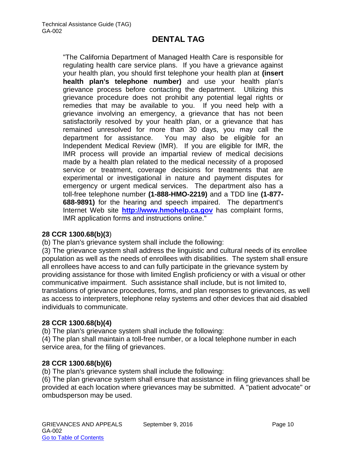"The California Department of Managed Health Care is responsible for regulating health care service plans. If you have a grievance against your health plan, you should first telephone your health plan at **(insert health plan's telephone number)** and use your health plan's grievance process before contacting the department. Utilizing this grievance procedure does not prohibit any potential legal rights or remedies that may be available to you. If you need help with a grievance involving an emergency, a grievance that has not been satisfactorily resolved by your health plan, or a grievance that has remained unresolved for more than 30 days, you may call the department for assistance. You may also be eligible for an Independent Medical Review (IMR). If you are eligible for IMR, the IMR process will provide an impartial review of medical decisions made by a health plan related to the medical necessity of a proposed service or treatment, coverage decisions for treatments that are experimental or investigational in nature and payment disputes for emergency or urgent medical services. The department also has a toll-free telephone number **(1-888-HMO-2219)** and a TDD line **(1-877- 688-9891)** for the hearing and speech impaired. The department's Internet Web site **[http://www.hmohelp.ca.gov](http://www.hmohelp.ca.gov/)** has complaint forms, IMR application forms and instructions online."

#### **28 CCR 1300.68(b)(3**)

(b) The plan's grievance system shall include the following:

(3) The grievance system shall address the linguistic and cultural needs of its enrollee population as well as the needs of enrollees with disabilities. The system shall ensure all enrollees have access to and can fully participate in the grievance system by providing assistance for those with limited English proficiency or with a visual or other communicative impairment. Such assistance shall include, but is not limited to, translations of grievance procedures, forms, and plan responses to grievances, as well as access to interpreters, telephone relay systems and other devices that aid disabled individuals to communicate.

#### **28 CCR 1300.68(b)(4)**

(b) The plan's grievance system shall include the following:

(4) The plan shall maintain a toll-free number, or a local telephone number in each service area, for the filing of grievances.

#### **28 CCR 1300.68(b)(6)**

(b) The plan's grievance system shall include the following:

(6) The plan grievance system shall ensure that assistance in filing grievances shall be provided at each location where grievances may be submitted. A "patient advocate" or ombudsperson may be used.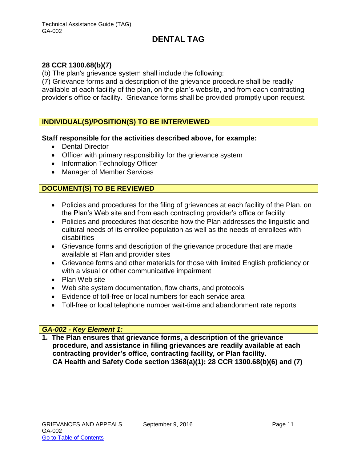#### **28 CCR 1300.68(b)(7)**

(b) The plan's grievance system shall include the following:

(7) Grievance forms and a description of the grievance procedure shall be readily available at each facility of the plan, on the plan's website, and from each contracting provider's office or facility. Grievance forms shall be provided promptly upon request.

#### **INDIVIDUAL(S)/POSITION(S) TO BE INTERVIEWED**

#### **Staff responsible for the activities described above, for example:**

- Dental Director
- Officer with primary responsibility for the grievance system
- Information Technology Officer
- Manager of Member Services

#### **DOCUMENT(S) TO BE REVIEWED**

- Policies and procedures for the filing of grievances at each facility of the Plan, on the Plan's Web site and from each contracting provider's office or facility
- Policies and procedures that describe how the Plan addresses the linguistic and cultural needs of its enrollee population as well as the needs of enrollees with disabilities
- Grievance forms and description of the grievance procedure that are made available at Plan and provider sites
- Grievance forms and other materials for those with limited English proficiency or with a visual or other communicative impairment
- Plan Web site
- Web site system documentation, flow charts, and protocols
- Evidence of toll-free or local numbers for each service area
- Toll-free or local telephone number wait-time and abandonment rate reports

#### *GA-002 - Key Element 1:*

**1. The Plan ensures that grievance forms, a description of the grievance procedure, and assistance in filing grievances are readily available at each contracting provider's office, contracting facility, or Plan facility. CA Health and Safety Code section 1368(a)(1); 28 CCR 1300.68(b)(6) and (7)**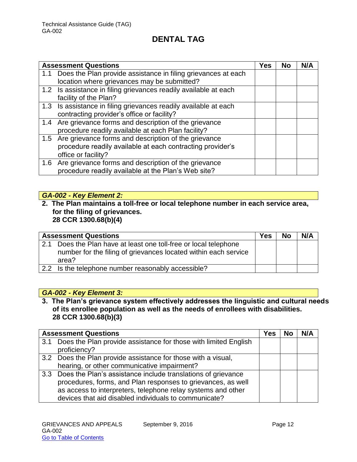|     | <b>Assessment Questions</b>                                      | Yes | <b>No</b> | N/A |
|-----|------------------------------------------------------------------|-----|-----------|-----|
| 1.1 | Does the Plan provide assistance in filing grievances at each    |     |           |     |
|     | location where grievances may be submitted?                      |     |           |     |
|     | 1.2 Is assistance in filing grievances readily available at each |     |           |     |
|     | facility of the Plan?                                            |     |           |     |
|     | 1.3 Is assistance in filing grievances readily available at each |     |           |     |
|     | contracting provider's office or facility?                       |     |           |     |
|     | 1.4 Are grievance forms and description of the grievance         |     |           |     |
|     | procedure readily available at each Plan facility?               |     |           |     |
|     | 1.5 Are grievance forms and description of the grievance         |     |           |     |
|     | procedure readily available at each contracting provider's       |     |           |     |
|     | office or facility?                                              |     |           |     |
|     | 1.6 Are grievance forms and description of the grievance         |     |           |     |
|     | procedure readily available at the Plan's Web site?              |     |           |     |

# *GA-002 - Key Element 2:*

#### **2. The Plan maintains a toll-free or local telephone number in each service area, for the filing of grievances. 28 CCR 1300.68(b)(4)**

| <b>Assessment Questions</b> |                                                                 | Yes | <b>No</b> | N/A |
|-----------------------------|-----------------------------------------------------------------|-----|-----------|-----|
| 2.1                         | Does the Plan have at least one toll-free or local telephone    |     |           |     |
|                             | number for the filing of grievances located within each service |     |           |     |
| area?                       |                                                                 |     |           |     |
|                             | 2.2 Is the telephone number reasonably accessible?              |     |           |     |

# *GA-002 - Key Element 3:*

**3. The Plan's grievance system effectively addresses the linguistic and cultural needs of its enrollee population as well as the needs of enrollees with disabilities. 28 CCR 1300.68(b)(3)**

|     | <b>Assessment Questions</b>                                      | Yes | N/A |
|-----|------------------------------------------------------------------|-----|-----|
| 3.1 | Does the Plan provide assistance for those with limited English  |     |     |
|     | proficiency?                                                     |     |     |
|     | 3.2 Does the Plan provide assistance for those with a visual,    |     |     |
|     | hearing, or other communicative impairment?                      |     |     |
|     | 3.3 Does the Plan's assistance include translations of grievance |     |     |
|     | procedures, forms, and Plan responses to grievances, as well     |     |     |
|     | as access to interpreters, telephone relay systems and other     |     |     |
|     | devices that aid disabled individuals to communicate?            |     |     |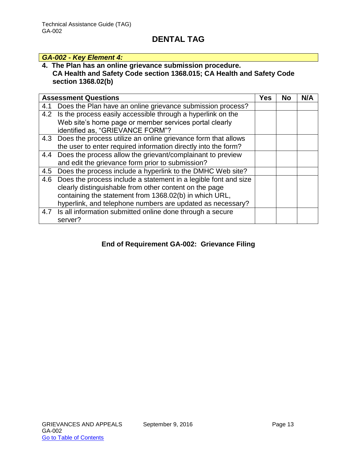# *GA-002 - Key Element 4:*

# **4. The Plan has an online grievance submission procedure.**

### **CA Health and Safety Code section 1368.015; CA Health and Safety Code section 1368.02(b)**

|     | <b>Assessment Questions</b>                                       | <b>Yes</b> | <b>No</b> | N/A |
|-----|-------------------------------------------------------------------|------------|-----------|-----|
| 4.1 | Does the Plan have an online grievance submission process?        |            |           |     |
|     | 4.2 Is the process easily accessible through a hyperlink on the   |            |           |     |
|     | Web site's home page or member services portal clearly            |            |           |     |
|     | identified as, "GRIEVANCE FORM"?                                  |            |           |     |
|     | 4.3 Does the process utilize an online grievance form that allows |            |           |     |
|     | the user to enter required information directly into the form?    |            |           |     |
| 4.4 | Does the process allow the grievant/complainant to preview        |            |           |     |
|     | and edit the grievance form prior to submission?                  |            |           |     |
| 4.5 | Does the process include a hyperlink to the DMHC Web site?        |            |           |     |
| 4.6 | Does the process include a statement in a legible font and size   |            |           |     |
|     | clearly distinguishable from other content on the page            |            |           |     |
|     | containing the statement from 1368.02(b) in which URL,            |            |           |     |
|     | hyperlink, and telephone numbers are updated as necessary?        |            |           |     |
|     | 4.7 Is all information submitted online done through a secure     |            |           |     |
|     | server?                                                           |            |           |     |

# **End of Requirement GA-002: Grievance Filing**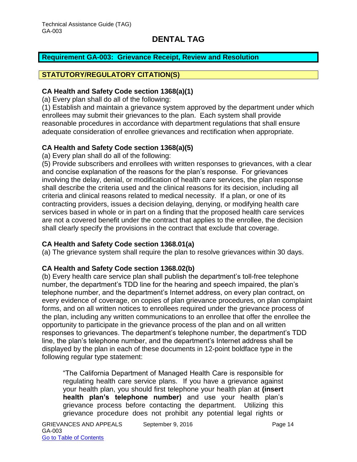#### <span id="page-14-0"></span>**Requirement GA-003: Grievance Receipt, Review and Resolution**

### **STATUTORY/REGULATORY CITATION(S)**

#### **CA Health and Safety Code section 1368(a)(1)**

(a) Every plan shall do all of the following:

(1) Establish and maintain a grievance system approved by the department under which enrollees may submit their grievances to the plan. Each system shall provide reasonable procedures in accordance with department regulations that shall ensure adequate consideration of enrollee grievances and rectification when appropriate.

#### **CA Health and Safety Code section 1368(a)(5)**

(a) Every plan shall do all of the following:

(5) Provide subscribers and enrollees with written responses to grievances, with a clear and concise explanation of the reasons for the plan's response. For grievances involving the delay, denial, or modification of health care services, the plan response shall describe the criteria used and the clinical reasons for its decision, including all criteria and clinical reasons related to medical necessity. If a plan, or one of its contracting providers, issues a decision delaying, denying, or modifying health care services based in whole or in part on a finding that the proposed health care services are not a covered benefit under the contract that applies to the enrollee, the decision shall clearly specify the provisions in the contract that exclude that coverage.

#### **CA Health and Safety Code section 1368.01(a)**

(a) The grievance system shall require the plan to resolve grievances within 30 days.

#### **CA Health and Safety Code section 1368.02(b)**

(b) Every health care service plan shall publish the department's toll-free telephone number, the department's TDD line for the hearing and speech impaired, the plan's telephone number, and the department's Internet address, on every plan contract, on every evidence of coverage, on copies of plan grievance procedures, on plan complaint forms, and on all written notices to enrollees required under the grievance process of the plan, including any written communications to an enrollee that offer the enrollee the opportunity to participate in the grievance process of the plan and on all written responses to grievances. The department's telephone number, the department's TDD line, the plan's telephone number, and the department's Internet address shall be displayed by the plan in each of these documents in 12-point boldface type in the following regular type statement:

"The California Department of Managed Health Care is responsible for regulating health care service plans. If you have a grievance against your health plan, you should first telephone your health plan at **(insert health plan's telephone number)** and use your health plan's grievance process before contacting the department. Utilizing this grievance procedure does not prohibit any potential legal rights or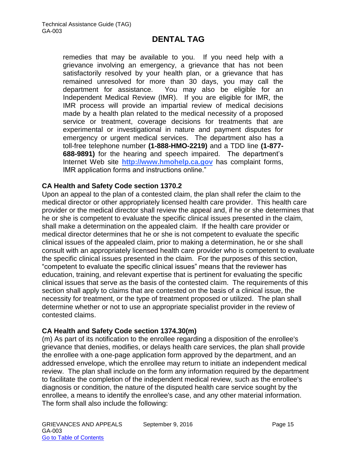remedies that may be available to you. If you need help with a grievance involving an emergency, a grievance that has not been satisfactorily resolved by your health plan, or a grievance that has remained unresolved for more than 30 days, you may call the department for assistance. You may also be eligible for an Independent Medical Review (IMR). If you are eligible for IMR, the IMR process will provide an impartial review of medical decisions made by a health plan related to the medical necessity of a proposed service or treatment, coverage decisions for treatments that are experimental or investigational in nature and payment disputes for emergency or urgent medical services. The department also has a toll-free telephone number **(1-888-HMO-2219)** and a TDD line **(1-877- 688-9891)** for the hearing and speech impaired. The department's Internet Web site **[http://www.hmohelp.ca.gov](http://www.hmohelp.ca.gov/)** has complaint forms, IMR application forms and instructions online."

#### **CA Health and Safety Code section 1370.2**

Upon an appeal to the plan of a contested claim, the plan shall refer the claim to the medical director or other appropriately licensed health care provider. This health care provider or the medical director shall review the appeal and, if he or she determines that he or she is competent to evaluate the specific clinical issues presented in the claim, shall make a determination on the appealed claim. If the health care provider or medical director determines that he or she is not competent to evaluate the specific clinical issues of the appealed claim, prior to making a determination, he or she shall consult with an appropriately licensed health care provider who is competent to evaluate the specific clinical issues presented in the claim. For the purposes of this section, "competent to evaluate the specific clinical issues" means that the reviewer has education, training, and relevant expertise that is pertinent for evaluating the specific clinical issues that serve as the basis of the contested claim. The requirements of this section shall apply to claims that are contested on the basis of a clinical issue, the necessity for treatment, or the type of treatment proposed or utilized. The plan shall determine whether or not to use an appropriate specialist provider in the review of contested claims.

#### **CA Health and Safety Code section 1374.30(m)**

(m) As part of its notification to the enrollee regarding a disposition of the enrollee's grievance that denies, modifies, or delays health care services, the plan shall provide the enrollee with a one-page application form approved by the department, and an addressed envelope, which the enrollee may return to initiate an independent medical review. The plan shall include on the form any information required by the department to facilitate the completion of the independent medical review, such as the enrollee's diagnosis or condition, the nature of the disputed health care service sought by the enrollee, a means to identify the enrollee's case, and any other material information. The form shall also include the following: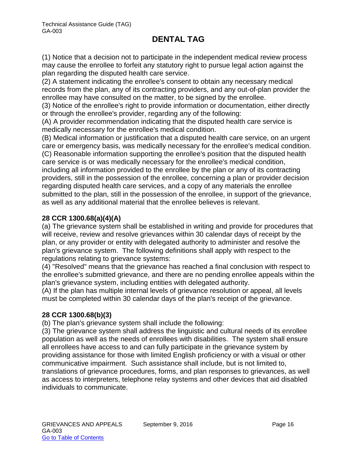(1) Notice that a decision not to participate in the independent medical review process may cause the enrollee to forfeit any statutory right to pursue legal action against the plan regarding the disputed health care service.

(2) A statement indicating the enrollee's consent to obtain any necessary medical records from the plan, any of its contracting providers, and any out-of-plan provider the enrollee may have consulted on the matter, to be signed by the enrollee.

(3) Notice of the enrollee's right to provide information or documentation, either directly or through the enrollee's provider, regarding any of the following:

(A) A provider recommendation indicating that the disputed health care service is medically necessary for the enrollee's medical condition.

(B) Medical information or justification that a disputed health care service, on an urgent care or emergency basis, was medically necessary for the enrollee's medical condition. (C) Reasonable information supporting the enrollee's position that the disputed health care service is or was medically necessary for the enrollee's medical condition, including all information provided to the enrollee by the plan or any of its contracting providers, still in the possession of the enrollee, concerning a plan or provider decision regarding disputed health care services, and a copy of any materials the enrollee submitted to the plan, still in the possession of the enrollee, in support of the grievance, as well as any additional material that the enrollee believes is relevant.

# **28 CCR 1300.68(a)(4)(A)**

(a) The grievance system shall be established in writing and provide for procedures that will receive, review and resolve grievances within 30 calendar days of receipt by the plan, or any provider or entity with delegated authority to administer and resolve the plan's grievance system. The following definitions shall apply with respect to the regulations relating to grievance systems:

(4) "Resolved" means that the grievance has reached a final conclusion with respect to the enrollee's submitted grievance, and there are no pending enrollee appeals within the plan's grievance system, including entities with delegated authority.

(A) If the plan has multiple internal levels of grievance resolution or appeal, all levels must be completed within 30 calendar days of the plan's receipt of the grievance.

### **28 CCR 1300.68(b)(3)**

(b) The plan's grievance system shall include the following:

(3) The grievance system shall address the linguistic and cultural needs of its enrollee population as well as the needs of enrollees with disabilities. The system shall ensure all enrollees have access to and can fully participate in the grievance system by providing assistance for those with limited English proficiency or with a visual or other communicative impairment. Such assistance shall include, but is not limited to, translations of grievance procedures, forms, and plan responses to grievances, as well as access to interpreters, telephone relay systems and other devices that aid disabled individuals to communicate.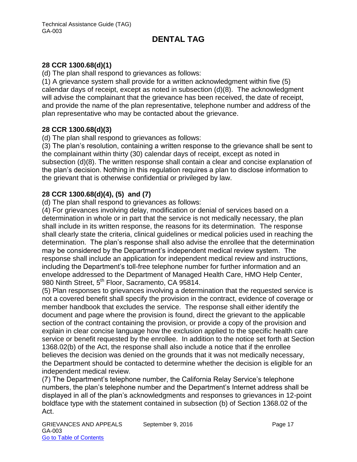### **28 CCR 1300.68(d)(1)**

(d) The plan shall respond to grievances as follows:

(1) A grievance system shall provide for a written acknowledgment within five (5) calendar days of receipt, except as noted in subsection (d)(8). The acknowledgment will advise the complainant that the grievance has been received, the date of receipt, and provide the name of the plan representative, telephone number and address of the plan representative who may be contacted about the grievance.

#### **28 CCR 1300.68(d)(3)**

(d) The plan shall respond to grievances as follows:

(3) The plan's resolution, containing a written response to the grievance shall be sent to the complainant within thirty (30) calendar days of receipt, except as noted in subsection (d)(8). The written response shall contain a clear and concise explanation of the plan's decision. Nothing in this regulation requires a plan to disclose information to the grievant that is otherwise confidential or privileged by law.

### **28 CCR 1300.68(d)(4), (5) and (7)**

(d) The plan shall respond to grievances as follows:

(4) For grievances involving delay, modification or denial of services based on a determination in whole or in part that the service is not medically necessary, the plan shall include in its written response, the reasons for its determination. The response shall clearly state the criteria, clinical guidelines or medical policies used in reaching the determination. The plan's response shall also advise the enrollee that the determination may be considered by the Department's independent medical review system. The response shall include an application for independent medical review and instructions, including the Department's toll-free telephone number for further information and an envelope addressed to the Department of Managed Health Care, HMO Help Center, 980 Ninth Street, 5<sup>th</sup> Floor, Sacramento, CA 95814.

(5) Plan responses to grievances involving a determination that the requested service is not a covered benefit shall specify the provision in the contract, evidence of coverage or member handbook that excludes the service. The response shall either identify the document and page where the provision is found, direct the grievant to the applicable section of the contract containing the provision, or provide a copy of the provision and explain in clear concise language how the exclusion applied to the specific health care service or benefit requested by the enrollee. In addition to the notice set forth at Section 1368.02(b) of the Act, the response shall also include a notice that if the enrollee believes the decision was denied on the grounds that it was not medically necessary, the Department should be contacted to determine whether the decision is eligible for an independent medical review.

(7) The Department's telephone number, the California Relay Service's telephone numbers, the plan's telephone number and the Department's Internet address shall be displayed in all of the plan's acknowledgments and responses to grievances in 12-point boldface type with the statement contained in subsection (b) of Section 1368.02 of the Act.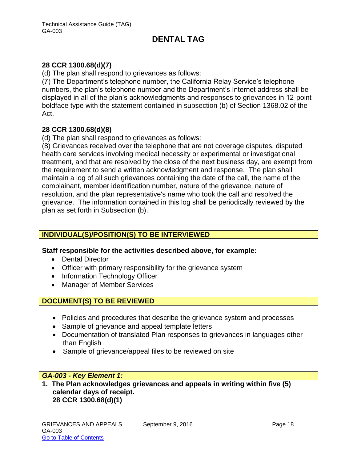### **28 CCR 1300.68(d)(7)**

(d) The plan shall respond to grievances as follows:

(7) The Department's telephone number, the California Relay Service's telephone numbers, the plan's telephone number and the Department's Internet address shall be displayed in all of the plan's acknowledgments and responses to grievances in 12-point boldface type with the statement contained in subsection (b) of Section 1368.02 of the Act.

#### **28 CCR 1300.68(d)(8)**

(d) The plan shall respond to grievances as follows:

(8) Grievances received over the telephone that are not coverage disputes, disputed health care services involving medical necessity or experimental or investigational treatment, and that are resolved by the close of the next business day, are exempt from the requirement to send a written acknowledgment and response. The plan shall maintain a log of all such grievances containing the date of the call, the name of the complainant, member identification number, nature of the grievance, nature of resolution, and the plan representative's name who took the call and resolved the grievance. The information contained in this log shall be periodically reviewed by the plan as set forth in Subsection (b).

### **INDIVIDUAL(S)/POSITION(S) TO BE INTERVIEWED**

#### **Staff responsible for the activities described above, for example:**

- Dental Director
- Officer with primary responsibility for the grievance system
- Information Technology Officer
- Manager of Member Services

### **DOCUMENT(S) TO BE REVIEWED**

- Policies and procedures that describe the grievance system and processes
- Sample of grievance and appeal template letters
- Documentation of translated Plan responses to grievances in languages other than English
- Sample of grievance/appeal files to be reviewed on site

#### *GA-003 - Key Element 1:*

**1. The Plan acknowledges grievances and appeals in writing within five (5) calendar days of receipt. 28 CCR 1300.68(d)(1)**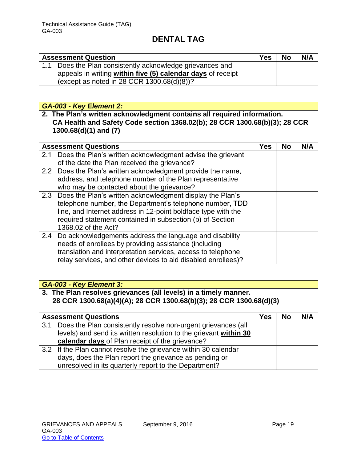| <b>Assessment Question</b>                                  | <b>Yes</b> | <b>No</b> | N/A |
|-------------------------------------------------------------|------------|-----------|-----|
| 1.1 Does the Plan consistently acknowledge grievances and   |            |           |     |
| appeals in writing within five (5) calendar days of receipt |            |           |     |
| (except as noted in 28 CCR $1300.68(d)(8)$ )?               |            |           |     |

#### *GA-003 - Key Element 2:*

**2. The Plan's written acknowledgment contains all required information. CA Health and Safety Code section 1368.02(b); 28 CCR 1300.68(b)(3); 28 CCR 1300.68(d)(1) and (7)**

|     | <b>Assessment Questions</b>                                   | <b>Yes</b> | <b>No</b> | N/A |
|-----|---------------------------------------------------------------|------------|-----------|-----|
| 2.1 | Does the Plan's written acknowledgment advise the grievant    |            |           |     |
|     | of the date the Plan received the grievance?                  |            |           |     |
|     | 2.2 Does the Plan's written acknowledgment provide the name,  |            |           |     |
|     | address, and telephone number of the Plan representative      |            |           |     |
|     | who may be contacted about the grievance?                     |            |           |     |
|     | 2.3 Does the Plan's written acknowledgment display the Plan's |            |           |     |
|     | telephone number, the Department's telephone number, TDD      |            |           |     |
|     | line, and Internet address in 12-point boldface type with the |            |           |     |
|     | required statement contained in subsection (b) of Section     |            |           |     |
|     | 1368.02 of the Act?                                           |            |           |     |
|     | 2.4 Do acknowledgements address the language and disability   |            |           |     |
|     | needs of enrollees by providing assistance (including         |            |           |     |
|     | translation and interpretation services, access to telephone  |            |           |     |
|     | relay services, and other devices to aid disabled enrollees)? |            |           |     |

### *GA-003 - Key Element 3:*

### **3. The Plan resolves grievances (all levels) in a timely manner. 28 CCR 1300.68(a)(4)(A); 28 CCR 1300.68(b)(3); 28 CCR 1300.68(d)(3)**

| <b>Assessment Questions</b> |                                                                   | Yes | <b>No</b> | N/A |
|-----------------------------|-------------------------------------------------------------------|-----|-----------|-----|
| 3.1                         | Does the Plan consistently resolve non-urgent grievances (all     |     |           |     |
|                             | levels) and send its written resolution to the grievant within 30 |     |           |     |
|                             | calendar days of Plan receipt of the grievance?                   |     |           |     |
|                             | 3.2 If the Plan cannot resolve the grievance within 30 calendar   |     |           |     |
|                             | days, does the Plan report the grievance as pending or            |     |           |     |
|                             | unresolved in its quarterly report to the Department?             |     |           |     |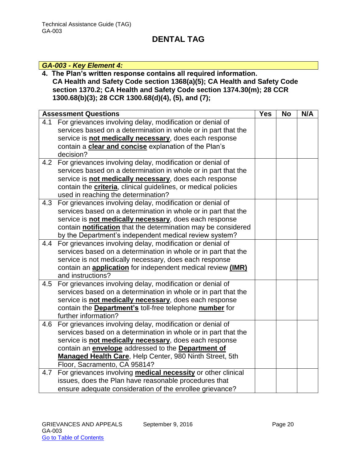### *GA-003 - Key Element 4:*

**4. The Plan's written response contains all required information. CA Health and Safety Code section 1368(a)(5); CA Health and Safety Code section 1370.2; CA Health and Safety Code section 1374.30(m); 28 CCR 1300.68(b)(3); 28 CCR 1300.68(d)(4), (5), and (7);** 

| <b>Assessment Questions</b>                                                                                              | <b>Yes</b> | <b>No</b> | N/A |
|--------------------------------------------------------------------------------------------------------------------------|------------|-----------|-----|
| 4.1 For grievances involving delay, modification or denial of                                                            |            |           |     |
| services based on a determination in whole or in part that the                                                           |            |           |     |
| service is not medically necessary, does each response                                                                   |            |           |     |
| contain a clear and concise explanation of the Plan's                                                                    |            |           |     |
| decision?                                                                                                                |            |           |     |
| 4.2 For grievances involving delay, modification or denial of                                                            |            |           |     |
| services based on a determination in whole or in part that the                                                           |            |           |     |
| service is not medically necessary, does each response                                                                   |            |           |     |
| contain the criteria, clinical guidelines, or medical policies                                                           |            |           |     |
| used in reaching the determination?                                                                                      |            |           |     |
| For grievances involving delay, modification or denial of<br>4.3                                                         |            |           |     |
| services based on a determination in whole or in part that the                                                           |            |           |     |
| service is not medically necessary, does each response                                                                   |            |           |     |
| contain notification that the determination may be considered                                                            |            |           |     |
| by the Department's independent medical review system?                                                                   |            |           |     |
| 4.4 For grievances involving delay, modification or denial of                                                            |            |           |     |
| services based on a determination in whole or in part that the<br>service is not medically necessary, does each response |            |           |     |
| contain an <b>application</b> for independent medical review (IMR)                                                       |            |           |     |
| and instructions?                                                                                                        |            |           |     |
| 4.5 For grievances involving delay, modification or denial of                                                            |            |           |     |
| services based on a determination in whole or in part that the                                                           |            |           |     |
| service is not medically necessary, does each response                                                                   |            |           |     |
| contain the Department's toll-free telephone number for                                                                  |            |           |     |
| further information?                                                                                                     |            |           |     |
| For grievances involving delay, modification or denial of<br>4.6                                                         |            |           |     |
| services based on a determination in whole or in part that the                                                           |            |           |     |
| service is not medically necessary, does each response                                                                   |            |           |     |
| contain an envelope addressed to the Department of                                                                       |            |           |     |
| Managed Health Care, Help Center, 980 Ninth Street, 5th                                                                  |            |           |     |
| Floor, Sacramento, CA 95814?                                                                                             |            |           |     |
| For grievances involving medical necessity or other clinical<br>4.7                                                      |            |           |     |
| issues, does the Plan have reasonable procedures that                                                                    |            |           |     |
| ensure adequate consideration of the enrollee grievance?                                                                 |            |           |     |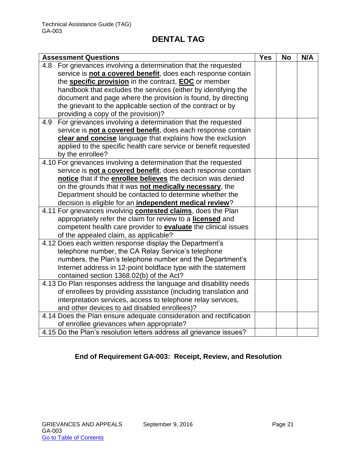| <b>Assessment Questions</b>                                                                       | <b>Yes</b> | <b>No</b> | N/A |
|---------------------------------------------------------------------------------------------------|------------|-----------|-----|
| For grievances involving a determination that the requested<br>4.8                                |            |           |     |
| service is not a covered benefit, does each response contain                                      |            |           |     |
| the specific provision in the contract, EOC or member                                             |            |           |     |
| handbook that excludes the services (either by identifying the                                    |            |           |     |
| document and page where the provision is found, by directing                                      |            |           |     |
| the grievant to the applicable section of the contract or by                                      |            |           |     |
| providing a copy of the provision)?                                                               |            |           |     |
| For grievances involving a determination that the requested<br>4.9                                |            |           |     |
| service is not a covered benefit, does each response contain                                      |            |           |     |
| clear and concise language that explains how the exclusion                                        |            |           |     |
| applied to the specific health care service or benefit requested                                  |            |           |     |
| by the enrollee?                                                                                  |            |           |     |
| 4.10 For grievances involving a determination that the requested                                  |            |           |     |
| service is not a covered benefit, does each response contain                                      |            |           |     |
| notice that if the enrollee believes the decision was denied                                      |            |           |     |
| on the grounds that it was not medically necessary, the                                           |            |           |     |
| Department should be contacted to determine whether the                                           |            |           |     |
| decision is eligible for an independent medical review?                                           |            |           |     |
| 4.11 For grievances involving <b>contested claims</b> , does the Plan                             |            |           |     |
| appropriately refer the claim for review to a licensed and                                        |            |           |     |
| competent health care provider to <b>evaluate</b> the clinical issues                             |            |           |     |
| of the appealed claim, as applicable?<br>4.12 Does each written response display the Department's |            |           |     |
| telephone number, the CA Relay Service's telephone                                                |            |           |     |
| numbers, the Plan's telephone number and the Department's                                         |            |           |     |
| Internet address in 12-point boldface type with the statement                                     |            |           |     |
| contained section 1368.02(b) of the Act?                                                          |            |           |     |
| 4.13 Do Plan responses address the language and disability needs                                  |            |           |     |
| of enrollees by providing assistance (including translation and                                   |            |           |     |
| interpretation services, access to telephone relay services,                                      |            |           |     |
| and other devices to aid disabled enrollees)?                                                     |            |           |     |
| 4.14 Does the Plan ensure adequate consideration and rectification                                |            |           |     |
| of enrollee grievances when appropriate?                                                          |            |           |     |
| 4.15 Do the Plan's resolution letters address all grievance issues?                               |            |           |     |

# **End of Requirement GA-003: Receipt, Review, and Resolution**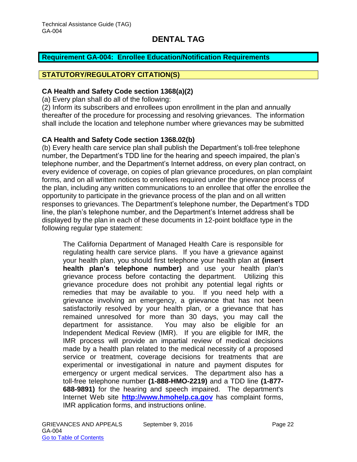#### <span id="page-22-0"></span>**Requirement GA-004: Enrollee Education/Notification Requirements**

#### **STATUTORY/REGULATORY CITATION(S)**

#### **CA Health and Safety Code section 1368(a)(2)**

(a) Every plan shall do all of the following:

(2) Inform its subscribers and enrollees upon enrollment in the plan and annually thereafter of the procedure for processing and resolving grievances. The information shall include the location and telephone number where grievances may be submitted

#### **CA Health and Safety Code section 1368.02(b)**

(b) Every health care service plan shall publish the Department's toll-free telephone number, the Department's TDD line for the hearing and speech impaired, the plan's telephone number, and the Department's Internet address, on every plan contract, on every evidence of coverage, on copies of plan grievance procedures, on plan complaint forms, and on all written notices to enrollees required under the grievance process of the plan, including any written communications to an enrollee that offer the enrollee the opportunity to participate in the grievance process of the plan and on all written responses to grievances. The Department's telephone number, the Department's TDD line, the plan's telephone number, and the Department's Internet address shall be displayed by the plan in each of these documents in 12-point boldface type in the following regular type statement:

The California Department of Managed Health Care is responsible for regulating health care service plans. If you have a grievance against your health plan, you should first telephone your health plan at **(insert health plan's telephone number)** and use your health plan's grievance process before contacting the department. Utilizing this grievance procedure does not prohibit any potential legal rights or remedies that may be available to you. If you need help with a grievance involving an emergency, a grievance that has not been satisfactorily resolved by your health plan, or a grievance that has remained unresolved for more than 30 days, you may call the department for assistance. You may also be eligible for an Independent Medical Review (IMR). If you are eligible for IMR, the IMR process will provide an impartial review of medical decisions made by a health plan related to the medical necessity of a proposed service or treatment, coverage decisions for treatments that are experimental or investigational in nature and payment disputes for emergency or urgent medical services. The department also has a toll-free telephone number **(1-888-HMO-2219)** and a TDD line **(1-877- 688-9891)** for the hearing and speech impaired. The department's Internet Web site **[http://www.hmohelp.ca.gov](http://www.hmohelp.ca.gov/)** has complaint forms, IMR application forms, and instructions online.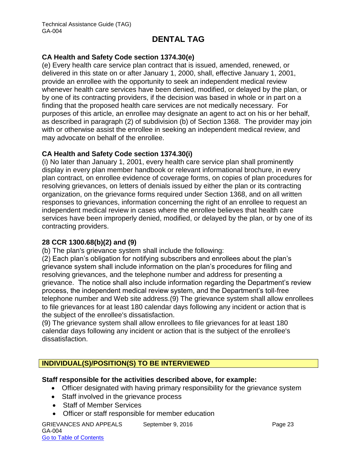#### **CA Health and Safety Code section 1374.30(e)**

(e) Every health care service plan contract that is issued, amended, renewed, or delivered in this state on or after January 1, 2000, shall, effective January 1, 2001, provide an enrollee with the opportunity to seek an independent medical review whenever health care services have been denied, modified, or delayed by the plan, or by one of its contracting providers, if the decision was based in whole or in part on a finding that the proposed health care services are not medically necessary. For purposes of this article, an enrollee may designate an agent to act on his or her behalf, as described in paragraph (2) of subdivision (b) of Section 1368. The provider may join with or otherwise assist the enrollee in seeking an independent medical review, and may advocate on behalf of the enrollee.

#### **CA Health and Safety Code section 1374.30(i)**

(i) No later than January 1, 2001, every health care service plan shall prominently display in every plan member handbook or relevant informational brochure, in every plan contract, on enrollee evidence of coverage forms, on copies of plan procedures for resolving grievances, on letters of denials issued by either the plan or its contracting organization, on the grievance forms required under Section 1368, and on all written responses to grievances, information concerning the right of an enrollee to request an independent medical review in cases where the enrollee believes that health care services have been improperly denied, modified, or delayed by the plan, or by one of its contracting providers.

#### **28 CCR 1300.68(b)(2) and (9)**

(b) The plan's grievance system shall include the following:

(2) Each plan's obligation for notifying subscribers and enrollees about the plan's grievance system shall include information on the plan's procedures for filing and resolving grievances, and the telephone number and address for presenting a grievance. The notice shall also include information regarding the Department's review process, the independent medical review system, and the Department's toll-free telephone number and Web site address.(9) The grievance system shall allow enrollees to file grievances for at least 180 calendar days following any incident or action that is the subject of the enrollee's dissatisfaction.

(9) The grievance system shall allow enrollees to file grievances for at least 180 calendar days following any incident or action that is the subject of the enrollee's dissatisfaction.

# **INDIVIDUAL(S)/POSITION(S) TO BE INTERVIEWED**

#### **Staff responsible for the activities described above, for example:**

- Officer designated with having primary responsibility for the grievance system
- Staff involved in the grievance process
- Staff of Member Services
- Officer or staff responsible for member education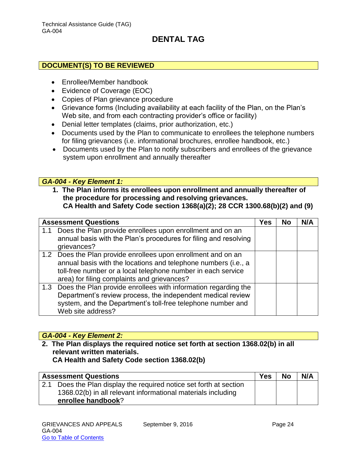#### **DOCUMENT(S) TO BE REVIEWED**

- Enrollee/Member handbook
- Evidence of Coverage (EOC)
- Copies of Plan grievance procedure
- Grievance forms (Including availability at each facility of the Plan, on the Plan's Web site, and from each contracting provider's office or facility)
- Denial letter templates (claims, prior authorization, etc.)
- Documents used by the Plan to communicate to enrollees the telephone numbers for filing grievances (i.e. informational brochures, enrollee handbook, etc.)
- Documents used by the Plan to notify subscribers and enrollees of the grievance system upon enrollment and annually thereafter

#### *GA-004 - Key Element 1:*

**1. The Plan informs its enrollees upon enrollment and annually thereafter of the procedure for processing and resolving grievances. CA Health and Safety Code section 1368(a)(2); 28 CCR 1300.68(b)(2) and (9)**

| <b>Assessment Questions</b>                                                                                                                                                                                                                    | Yes | <b>No</b> | N/A |
|------------------------------------------------------------------------------------------------------------------------------------------------------------------------------------------------------------------------------------------------|-----|-----------|-----|
| Does the Plan provide enrollees upon enrollment and on an<br>1.1<br>annual basis with the Plan's procedures for filing and resolving<br>grievances?                                                                                            |     |           |     |
| 1.2 Does the Plan provide enrollees upon enrollment and on an<br>annual basis with the locations and telephone numbers (i.e., a<br>toll-free number or a local telephone number in each service<br>area) for filing complaints and grievances? |     |           |     |
| 1.3 Does the Plan provide enrollees with information regarding the<br>Department's review process, the independent medical review<br>system, and the Department's toll-free telephone number and<br>Web site address?                          |     |           |     |

#### *GA-004 - Key Element 2:*

**2. The Plan displays the required notice set forth at section 1368.02(b) in all relevant written materials. CA Health and Safety Code section 1368.02(b)**

| <b>Assessment Questions</b>                                        | <b>Yes</b> | <b>No</b> | N/A |
|--------------------------------------------------------------------|------------|-----------|-----|
| 2.1 Does the Plan display the required notice set forth at section |            |           |     |
| 1368.02(b) in all relevant informational materials including       |            |           |     |
| enrollee handbook?                                                 |            |           |     |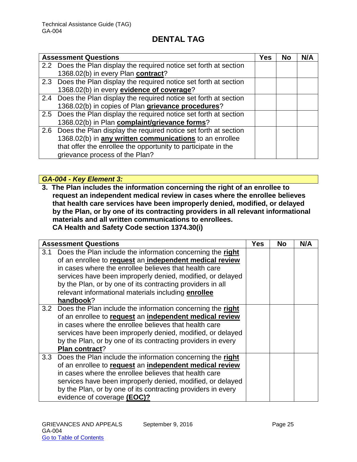|     | <b>Assessment Questions</b>                                        | <b>Yes</b> | No | N/A |
|-----|--------------------------------------------------------------------|------------|----|-----|
|     | 2.2 Does the Plan display the required notice set forth at section |            |    |     |
|     | 1368.02(b) in every Plan contract?                                 |            |    |     |
|     | 2.3 Does the Plan display the required notice set forth at section |            |    |     |
|     | 1368.02(b) in every evidence of coverage?                          |            |    |     |
|     | 2.4 Does the Plan display the required notice set forth at section |            |    |     |
|     | 1368.02(b) in copies of Plan grievance procedures?                 |            |    |     |
|     | 2.5 Does the Plan display the required notice set forth at section |            |    |     |
|     | 1368.02(b) in Plan complaint/grievance forms?                      |            |    |     |
| 2.6 | Does the Plan display the required notice set forth at section     |            |    |     |
|     | 1368.02(b) in any written communications to an enrollee            |            |    |     |
|     | that offer the enrollee the opportunity to participate in the      |            |    |     |
|     | grievance process of the Plan?                                     |            |    |     |

*GA-004 - Key Element 3:*

**3. The Plan includes the information concerning the right of an enrollee to request an independent medical review in cases where the enrollee believes that health care services have been improperly denied, modified, or delayed by the Plan, or by one of its contracting providers in all relevant informational materials and all written communications to enrollees. CA Health and Safety Code section 1374.30(i)**

|     | <b>Assessment Questions</b>                                    | <b>Yes</b> | <b>No</b> | N/A |
|-----|----------------------------------------------------------------|------------|-----------|-----|
| 3.1 | Does the Plan include the information concerning the right     |            |           |     |
|     | of an enrollee to request an independent medical review        |            |           |     |
|     | in cases where the enrollee believes that health care          |            |           |     |
|     | services have been improperly denied, modified, or delayed     |            |           |     |
|     | by the Plan, or by one of its contracting providers in all     |            |           |     |
|     | relevant informational materials including enrollee            |            |           |     |
|     | handbook?                                                      |            |           |     |
|     | 3.2 Does the Plan include the information concerning the right |            |           |     |
|     | of an enrollee to request an independent medical review        |            |           |     |
|     | in cases where the enrollee believes that health care          |            |           |     |
|     | services have been improperly denied, modified, or delayed     |            |           |     |
|     | by the Plan, or by one of its contracting providers in every   |            |           |     |
|     | Plan contract?                                                 |            |           |     |
|     | 3.3 Does the Plan include the information concerning the right |            |           |     |
|     | of an enrollee to request an independent medical review        |            |           |     |
|     | in cases where the enrollee believes that health care          |            |           |     |
|     | services have been improperly denied, modified, or delayed     |            |           |     |
|     | by the Plan, or by one of its contracting providers in every   |            |           |     |
|     | evidence of coverage (EOC)?                                    |            |           |     |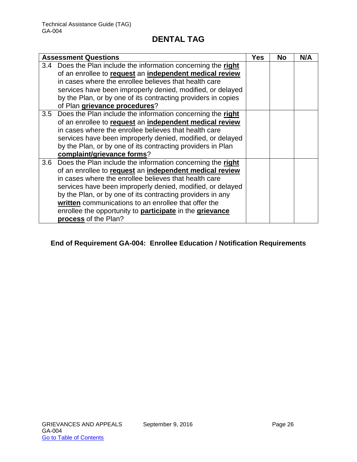| <b>Assessment Questions</b>                                            | Yes | <b>No</b> | N/A |
|------------------------------------------------------------------------|-----|-----------|-----|
| 3.4 Does the Plan include the information concerning the right         |     |           |     |
| of an enrollee to request an independent medical review                |     |           |     |
| in cases where the enrollee believes that health care                  |     |           |     |
| services have been improperly denied, modified, or delayed             |     |           |     |
| by the Plan, or by one of its contracting providers in copies          |     |           |     |
| of Plan grievance procedures?                                          |     |           |     |
| 3.5 Does the Plan include the information concerning the right         |     |           |     |
| of an enrollee to request an independent medical review                |     |           |     |
| in cases where the enrollee believes that health care                  |     |           |     |
| services have been improperly denied, modified, or delayed             |     |           |     |
| by the Plan, or by one of its contracting providers in Plan            |     |           |     |
| complaint/grievance forms?                                             |     |           |     |
| 3.6 Does the Plan include the information concerning the right         |     |           |     |
| of an enrollee to request an independent medical review                |     |           |     |
| in cases where the enrollee believes that health care                  |     |           |     |
| services have been improperly denied, modified, or delayed             |     |           |     |
| by the Plan, or by one of its contracting providers in any             |     |           |     |
| written communications to an enrollee that offer the                   |     |           |     |
| enrollee the opportunity to <b>participate</b> in the <b>grievance</b> |     |           |     |
| process of the Plan?                                                   |     |           |     |

# **End of Requirement GA-004: Enrollee Education / Notification Requirements**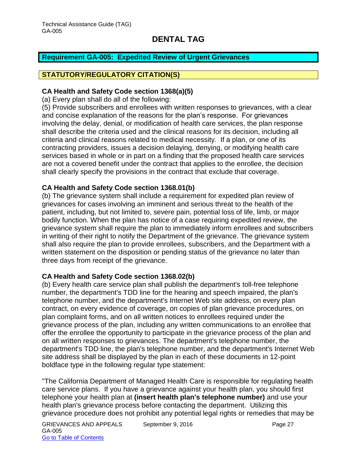# <span id="page-27-0"></span>**Requirement GA-005: Expedited Review of Urgent Grievances**

### **STATUTORY/REGULATORY CITATION(S)**

#### **CA Health and Safety Code section 1368(a)(5)**

(a) Every plan shall do all of the following:

(5) Provide subscribers and enrollees with written responses to grievances, with a clear and concise explanation of the reasons for the plan's response. For grievances involving the delay, denial, or modification of health care services, the plan response shall describe the criteria used and the clinical reasons for its decision, including all criteria and clinical reasons related to medical necessity. If a plan, or one of its contracting providers, issues a decision delaying, denying, or modifying health care services based in whole or in part on a finding that the proposed health care services are not a covered benefit under the contract that applies to the enrollee, the decision shall clearly specify the provisions in the contract that exclude that coverage.

#### **CA Health and Safety Code section 1368.01(b)**

(b) The grievance system shall include a requirement for expedited plan review of grievances for cases involving an imminent and serious threat to the health of the patient, including, but not limited to, severe pain, potential loss of life, limb, or major bodily function. When the plan has notice of a case requiring expedited review, the grievance system shall require the plan to immediately inform enrollees and subscribers in writing of their right to notify the Department of the grievance. The grievance system shall also require the plan to provide enrollees, subscribers, and the Department with a written statement on the disposition or pending status of the grievance no later than three days from receipt of the grievance.

#### **CA Health and Safety Code section 1368.02(b)**

(b) Every health care service plan shall publish the department's toll-free telephone number, the department's TDD line for the hearing and speech impaired, the plan's telephone number, and the department's Internet Web site address, on every plan contract, on every evidence of coverage, on copies of plan grievance procedures, on plan complaint forms, and on all written notices to enrollees required under the grievance process of the plan, including any written communications to an enrollee that offer the enrollee the opportunity to participate in the grievance process of the plan and on all written responses to grievances. The department's telephone number, the department's TDD line, the plan's telephone number, and the department's Internet Web site address shall be displayed by the plan in each of these documents in 12-point boldface type in the following regular type statement:

"The California Department of Managed Health Care is responsible for regulating health care service plans. If you have a grievance against your health plan, you should first telephone your health plan at **(insert health plan's telephone number)** and use your health plan's grievance process before contacting the department. Utilizing this grievance procedure does not prohibit any potential legal rights or remedies that may be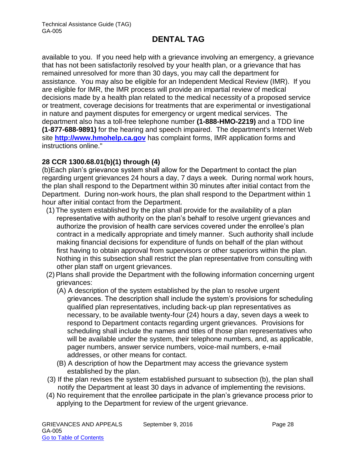available to you. If you need help with a grievance involving an emergency, a grievance that has not been satisfactorily resolved by your health plan, or a grievance that has remained unresolved for more than 30 days, you may call the department for assistance. You may also be eligible for an Independent Medical Review (IMR). If you are eligible for IMR, the IMR process will provide an impartial review of medical decisions made by a health plan related to the medical necessity of a proposed service or treatment, coverage decisions for treatments that are experimental or investigational in nature and payment disputes for emergency or urgent medical services. The department also has a toll-free telephone number **(1-888-HMO-2219)** and a TDD line **(1-877-688-9891)** for the hearing and speech impaired. The department's Internet Web site **[http://www.hmohelp.ca.gov](http://www.hmohelp.ca.gov/)** has complaint forms, IMR application forms and instructions online."

#### **28 CCR 1300.68.01(b)(1) through (4)**

(b)Each plan's grievance system shall allow for the Department to contact the plan regarding urgent grievances 24 hours a day, 7 days a week. During normal work hours, the plan shall respond to the Department within 30 minutes after initial contact from the Department. During non-work hours, the plan shall respond to the Department within 1 hour after initial contact from the Department.

- (1) The system established by the plan shall provide for the availability of a plan representative with authority on the plan's behalf to resolve urgent grievances and authorize the provision of health care services covered under the enrollee's plan contract in a medically appropriate and timely manner. Such authority shall include making financial decisions for expenditure of funds on behalf of the plan without first having to obtain approval from supervisors or other superiors within the plan. Nothing in this subsection shall restrict the plan representative from consulting with other plan staff on urgent grievances.
- (2) Plans shall provide the Department with the following information concerning urgent grievances:
	- (A) A description of the system established by the plan to resolve urgent grievances. The description shall include the system's provisions for scheduling qualified plan representatives, including back-up plan representatives as necessary, to be available twenty-four (24) hours a day, seven days a week to respond to Department contacts regarding urgent grievances. Provisions for scheduling shall include the names and titles of those plan representatives who will be available under the system, their telephone numbers, and, as applicable, pager numbers, answer service numbers, voice-mail numbers, e-mail addresses, or other means for contact.
	- (B) A description of how the Department may access the grievance system established by the plan.
- (3) If the plan revises the system established pursuant to subsection (b), the plan shall notify the Department at least 30 days in advance of implementing the revisions.
- (4) No requirement that the enrollee participate in the plan's grievance process prior to applying to the Department for review of the urgent grievance.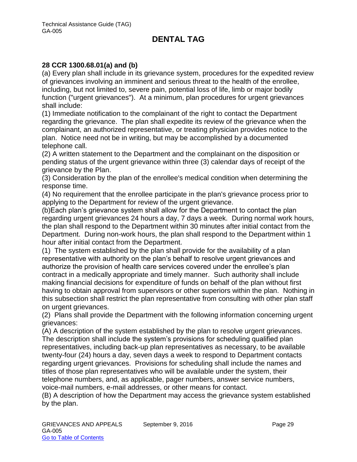#### **28 CCR 1300.68.01(a) and (b)**

(a) Every plan shall include in its grievance system, procedures for the expedited review of grievances involving an imminent and serious threat to the health of the enrollee, including, but not limited to, severe pain, potential loss of life, limb or major bodily function ("urgent grievances"). At a minimum, plan procedures for urgent grievances shall include:

(1) Immediate notification to the complainant of the right to contact the Department regarding the grievance. The plan shall expedite its review of the grievance when the complainant, an authorized representative, or treating physician provides notice to the plan. Notice need not be in writing, but may be accomplished by a documented telephone call.

(2) A written statement to the Department and the complainant on the disposition or pending status of the urgent grievance within three (3) calendar days of receipt of the grievance by the Plan.

(3) Consideration by the plan of the enrollee's medical condition when determining the response time.

(4) No requirement that the enrollee participate in the plan's grievance process prior to applying to the Department for review of the urgent grievance.

(b)Each plan's grievance system shall allow for the Department to contact the plan regarding urgent grievances 24 hours a day, 7 days a week. During normal work hours, the plan shall respond to the Department within 30 minutes after initial contact from the Department. During non-work hours, the plan shall respond to the Department within 1 hour after initial contact from the Department.

(1) The system established by the plan shall provide for the availability of a plan representative with authority on the plan's behalf to resolve urgent grievances and authorize the provision of health care services covered under the enrollee's plan contract in a medically appropriate and timely manner. Such authority shall include making financial decisions for expenditure of funds on behalf of the plan without first having to obtain approval from supervisors or other superiors within the plan. Nothing in this subsection shall restrict the plan representative from consulting with other plan staff on urgent grievances.

(2) Plans shall provide the Department with the following information concerning urgent grievances:

(A) A description of the system established by the plan to resolve urgent grievances. The description shall include the system's provisions for scheduling qualified plan representatives, including back-up plan representatives as necessary, to be available twenty-four (24) hours a day, seven days a week to respond to Department contacts regarding urgent grievances. Provisions for scheduling shall include the names and titles of those plan representatives who will be available under the system, their telephone numbers, and, as applicable, pager numbers, answer service numbers, voice-mail numbers, e-mail addresses, or other means for contact.

(B) A description of how the Department may access the grievance system established by the plan.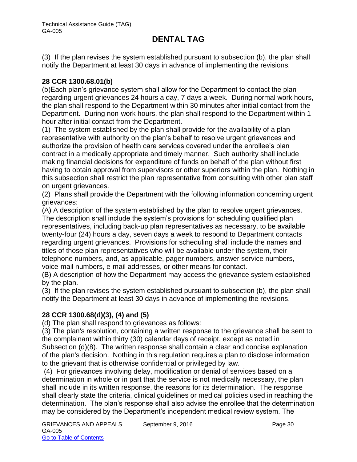(3) If the plan revises the system established pursuant to subsection (b), the plan shall notify the Department at least 30 days in advance of implementing the revisions.

#### **28 CCR 1300.68.01(b)**

(b)Each plan's grievance system shall allow for the Department to contact the plan regarding urgent grievances 24 hours a day, 7 days a week. During normal work hours, the plan shall respond to the Department within 30 minutes after initial contact from the Department. During non-work hours, the plan shall respond to the Department within 1 hour after initial contact from the Department.

(1) The system established by the plan shall provide for the availability of a plan representative with authority on the plan's behalf to resolve urgent grievances and authorize the provision of health care services covered under the enrollee's plan contract in a medically appropriate and timely manner. Such authority shall include making financial decisions for expenditure of funds on behalf of the plan without first having to obtain approval from supervisors or other superiors within the plan. Nothing in this subsection shall restrict the plan representative from consulting with other plan staff on urgent grievances.

(2) Plans shall provide the Department with the following information concerning urgent grievances:

(A) A description of the system established by the plan to resolve urgent grievances. The description shall include the system's provisions for scheduling qualified plan representatives, including back-up plan representatives as necessary, to be available twenty-four (24) hours a day, seven days a week to respond to Department contacts regarding urgent grievances. Provisions for scheduling shall include the names and titles of those plan representatives who will be available under the system, their telephone numbers, and, as applicable, pager numbers, answer service numbers, voice-mail numbers, e-mail addresses, or other means for contact.

(B) A description of how the Department may access the grievance system established by the plan.

(3) If the plan revises the system established pursuant to subsection (b), the plan shall notify the Department at least 30 days in advance of implementing the revisions.

### **28 CCR 1300.68(d)(3), (4) and (5)**

(d) The plan shall respond to grievances as follows:

(3) The plan's resolution, containing a written response to the grievance shall be sent to the complainant within thirty (30) calendar days of receipt, except as noted in Subsection (d)(8). The written response shall contain a clear and concise explanation of the plan's decision. Nothing in this regulation requires a plan to disclose information to the grievant that is otherwise confidential or privileged by law.

(4) For grievances involving delay, modification or denial of services based on a determination in whole or in part that the service is not medically necessary, the plan shall include in its written response, the reasons for its determination. The response shall clearly state the criteria, clinical guidelines or medical policies used in reaching the determination. The plan's response shall also advise the enrollee that the determination may be considered by the Department's independent medical review system. The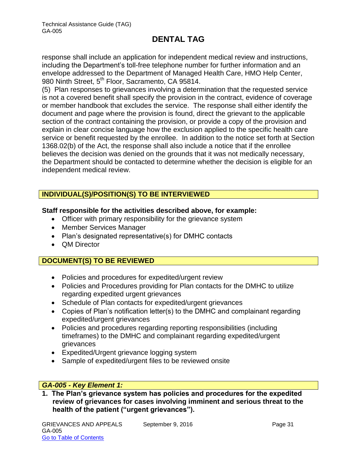response shall include an application for independent medical review and instructions, including the Department's toll-free telephone number for further information and an envelope addressed to the Department of Managed Health Care, HMO Help Center, 980 Ninth Street, 5<sup>th</sup> Floor, Sacramento, CA 95814.

(5) Plan responses to grievances involving a determination that the requested service is not a covered benefit shall specify the provision in the contract, evidence of coverage or member handbook that excludes the service. The response shall either identify the document and page where the provision is found, direct the grievant to the applicable section of the contract containing the provision, or provide a copy of the provision and explain in clear concise language how the exclusion applied to the specific health care service or benefit requested by the enrollee. In addition to the notice set forth at Section 1368.02(b) of the Act, the response shall also include a notice that if the enrollee believes the decision was denied on the grounds that it was not medically necessary, the Department should be contacted to determine whether the decision is eligible for an independent medical review.

### **INDIVIDUAL(S)/POSITION(S) TO BE INTERVIEWED**

#### **Staff responsible for the activities described above, for example:**

- Officer with primary responsibility for the grievance system
- Member Services Manager
- Plan's designated representative(s) for DMHC contacts
- **QM Director**

### **DOCUMENT(S) TO BE REVIEWED**

- Policies and procedures for expedited/urgent review
- Policies and Procedures providing for Plan contacts for the DMHC to utilize regarding expedited urgent grievances
- Schedule of Plan contacts for expedited/urgent grievances
- Copies of Plan's notification letter(s) to the DMHC and complainant regarding expedited/urgent grievances
- Policies and procedures regarding reporting responsibilities (including timeframes) to the DMHC and complainant regarding expedited/urgent grievances
- Expedited/Urgent grievance logging system
- Sample of expedited/urgent files to be reviewed onsite

#### *GA-005 - Key Element 1:*

**1. The Plan's grievance system has policies and procedures for the expedited review of grievances for cases involving imminent and serious threat to the health of the patient ("urgent grievances").**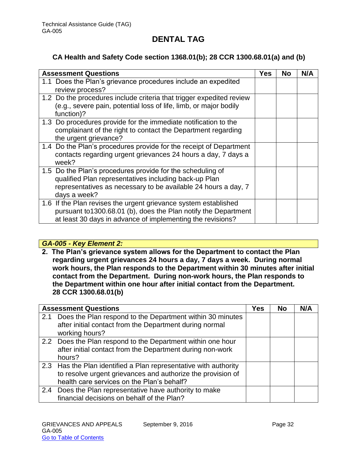### **CA Health and Safety Code section 1368.01(b); 28 CCR 1300.68.01(a) and (b)**

| <b>Assessment Questions</b>                                                                                                                                                                           | Yes | No | N/A |
|-------------------------------------------------------------------------------------------------------------------------------------------------------------------------------------------------------|-----|----|-----|
| 1.1 Does the Plan's grievance procedures include an expedited<br>review process?                                                                                                                      |     |    |     |
| 1.2 Do the procedures include criteria that trigger expedited review<br>(e.g., severe pain, potential loss of life, limb, or major bodily<br>function)?                                               |     |    |     |
| 1.3 Do procedures provide for the immediate notification to the<br>complainant of the right to contact the Department regarding<br>the urgent grievance?                                              |     |    |     |
| 1.4 Do the Plan's procedures provide for the receipt of Department<br>contacts regarding urgent grievances 24 hours a day, 7 days a<br>week?                                                          |     |    |     |
| 1.5 Do the Plan's procedures provide for the scheduling of<br>qualified Plan representatives including back-up Plan<br>representatives as necessary to be available 24 hours a day, 7<br>days a week? |     |    |     |
| 1.6 If the Plan revises the urgent grievance system established<br>pursuant to1300.68.01 (b), does the Plan notify the Department<br>at least 30 days in advance of implementing the revisions?       |     |    |     |

#### *GA-005 - Key Element 2:*

**2. The Plan's grievance system allows for the Department to contact the Plan regarding urgent grievances 24 hours a day, 7 days a week. During normal work hours, the Plan responds to the Department within 30 minutes after initial contact from the Department. During non-work hours, the Plan responds to the Department within one hour after initial contact from the Department. 28 CCR 1300.68.01(b)**

|     | <b>Assessment Questions</b>                                                                                                                                                   | <b>Yes</b> | <b>No</b> | N/A |
|-----|-------------------------------------------------------------------------------------------------------------------------------------------------------------------------------|------------|-----------|-----|
| 2.1 | Does the Plan respond to the Department within 30 minutes<br>after initial contact from the Department during normal<br>working hours?                                        |            |           |     |
|     | 2.2 Does the Plan respond to the Department within one hour<br>after initial contact from the Department during non-work<br>hours?                                            |            |           |     |
|     | 2.3 Has the Plan identified a Plan representative with authority<br>to resolve urgent grievances and authorize the provision of<br>health care services on the Plan's behalf? |            |           |     |
|     | 2.4 Does the Plan representative have authority to make<br>financial decisions on behalf of the Plan?                                                                         |            |           |     |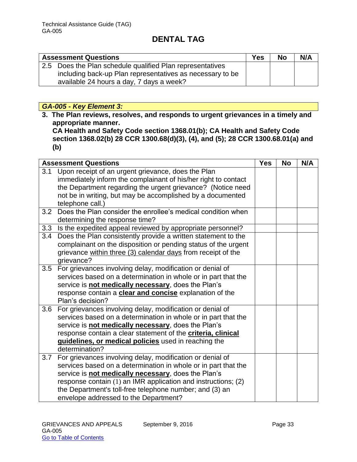| <b>Assessment Questions</b>                               | <b>Yes</b> | <b>No</b> | N/A |
|-----------------------------------------------------------|------------|-----------|-----|
| 2.5 Does the Plan schedule qualified Plan representatives |            |           |     |
| including back-up Plan representatives as necessary to be |            |           |     |
| available 24 hours a day, 7 days a week?                  |            |           |     |

### *GA-005 - Key Element 3:*

**3. The Plan reviews, resolves, and responds to urgent grievances in a timely and appropriate manner.** 

**CA Health and Safety Code section 1368.01(b); CA Health and Safety Code section 1368.02(b) 28 CCR 1300.68(d)(3), (4), and (5); 28 CCR 1300.68.01(a) and (b)** 

|     | <b>Assessment Questions</b>                                                                                                                                                                                                                                                                                                                             | <b>Yes</b> | <b>No</b> | N/A |
|-----|---------------------------------------------------------------------------------------------------------------------------------------------------------------------------------------------------------------------------------------------------------------------------------------------------------------------------------------------------------|------------|-----------|-----|
| 3.1 | Upon receipt of an urgent grievance, does the Plan<br>immediately inform the complainant of his/her right to contact                                                                                                                                                                                                                                    |            |           |     |
|     | the Department regarding the urgent grievance? (Notice need<br>not be in writing, but may be accomplished by a documented                                                                                                                                                                                                                               |            |           |     |
|     | telephone call.)                                                                                                                                                                                                                                                                                                                                        |            |           |     |
| 3.2 | Does the Plan consider the enrollee's medical condition when<br>determining the response time?                                                                                                                                                                                                                                                          |            |           |     |
|     | 3.3 Is the expedited appeal reviewed by appropriate personnel?                                                                                                                                                                                                                                                                                          |            |           |     |
| 3.4 | Does the Plan consistently provide a written statement to the<br>complainant on the disposition or pending status of the urgent<br>grievance within three (3) calendar days from receipt of the<br>grievance?                                                                                                                                           |            |           |     |
| 3.5 | For grievances involving delay, modification or denial of<br>services based on a determination in whole or in part that the<br>service is not medically necessary, does the Plan's<br>response contain a clear and concise explanation of the<br>Plan's decision?                                                                                       |            |           |     |
| 3.6 | For grievances involving delay, modification or denial of<br>services based on a determination in whole or in part that the<br>service is not medically necessary, does the Plan's<br>response contain a clear statement of the criteria, clinical<br>guidelines, or medical policies used in reaching the<br>determination?                            |            |           |     |
| 3.7 | For grievances involving delay, modification or denial of<br>services based on a determination in whole or in part that the<br>service is not medically necessary, does the Plan's<br>response contain (1) an IMR application and instructions; (2)<br>the Department's toll-free telephone number; and (3) an<br>envelope addressed to the Department? |            |           |     |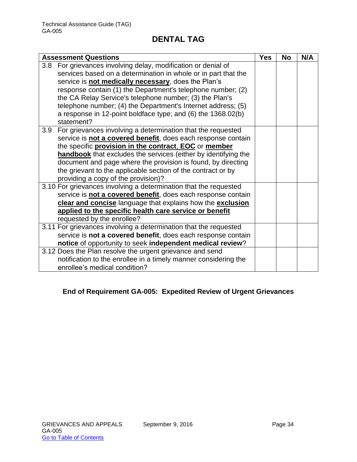| <b>Assessment Questions</b>                                        | <b>Yes</b> | <b>No</b> | N/A |
|--------------------------------------------------------------------|------------|-----------|-----|
| For grievances involving delay, modification or denial of<br>3.8   |            |           |     |
| services based on a determination in whole or in part that the     |            |           |     |
| service is not medically necessary, does the Plan's                |            |           |     |
| response contain (1) the Department's telephone number; (2)        |            |           |     |
| the CA Relay Service's telephone number; (3) the Plan's            |            |           |     |
| telephone number; (4) the Department's Internet address; (5)       |            |           |     |
| a response in 12-point boldface type; and (6) the 1368.02(b)       |            |           |     |
| statement?                                                         |            |           |     |
| For grievances involving a determination that the requested<br>3.9 |            |           |     |
| service is not a covered benefit, does each response contain       |            |           |     |
| the specific provision in the contract, EOC or member              |            |           |     |
| handbook that excludes the services (either by identifying the     |            |           |     |
| document and page where the provision is found, by directing       |            |           |     |
| the grievant to the applicable section of the contract or by       |            |           |     |
| providing a copy of the provision)?                                |            |           |     |
| 3.10 For grievances involving a determination that the requested   |            |           |     |
| service is not a covered benefit, does each response contain       |            |           |     |
| clear and concise language that explains how the exclusion         |            |           |     |
| applied to the specific health care service or benefit             |            |           |     |
| requested by the enrollee?                                         |            |           |     |
| 3.11 For grievances involving a determination that the requested   |            |           |     |
| service is not a covered benefit, does each response contain       |            |           |     |
| notice of opportunity to seek independent medical review?          |            |           |     |
| 3.12 Does the Plan resolve the urgent grievance and send           |            |           |     |
| notification to the enrollee in a timely manner considering the    |            |           |     |
| enrollee's medical condition?                                      |            |           |     |

# **End of Requirement GA-005: Expedited Review of Urgent Grievances**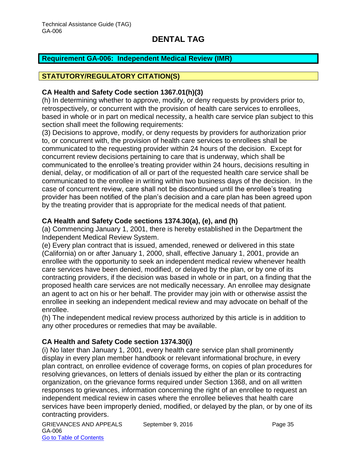#### <span id="page-35-0"></span>**Requirement GA-006: Independent Medical Review (IMR)**

#### **STATUTORY/REGULATORY CITATION(S)**

#### **CA Health and Safety Code section 1367.01(h)(3)**

(h) In determining whether to approve, modify, or deny requests by providers prior to, retrospectively, or concurrent with the provision of health care services to enrollees, based in whole or in part on medical necessity, a health care service plan subject to this section shall meet the following requirements:

(3) Decisions to approve, modify, or deny requests by providers for authorization prior to, or concurrent with, the provision of health care services to enrollees shall be communicated to the requesting provider within 24 hours of the decision. Except for concurrent review decisions pertaining to care that is underway, which shall be communicated to the enrollee's treating provider within 24 hours, decisions resulting in denial, delay, or modification of all or part of the requested health care service shall be communicated to the enrollee in writing within two business days of the decision. In the case of concurrent review, care shall not be discontinued until the enrollee's treating provider has been notified of the plan's decision and a care plan has been agreed upon by the treating provider that is appropriate for the medical needs of that patient.

#### **CA Health and Safety Code sections 1374.30(a), (e), and (h)**

(a) Commencing January 1, 2001, there is hereby established in the Department the Independent Medical Review System.

(e) Every plan contract that is issued, amended, renewed or delivered in this state (California) on or after January 1, 2000, shall, effective January 1, 2001, provide an enrollee with the opportunity to seek an independent medical review whenever health care services have been denied, modified, or delayed by the plan, or by one of its contracting providers, if the decision was based in whole or in part, on a finding that the proposed health care services are not medically necessary. An enrollee may designate an agent to act on his or her behalf. The provider may join with or otherwise assist the enrollee in seeking an independent medical review and may advocate on behalf of the enrollee.

(h) The independent medical review process authorized by this article is in addition to any other procedures or remedies that may be available.

#### **CA Health and Safety Code section 1374.30(i)**

(i) No later than January 1, 2001, every health care service plan shall prominently display in every plan member handbook or relevant informational brochure, in every plan contract, on enrollee evidence of coverage forms, on copies of plan procedures for resolving grievances, on letters of denials issued by either the plan or its contracting organization, on the grievance forms required under Section 1368, and on all written responses to grievances, information concerning the right of an enrollee to request an independent medical review in cases where the enrollee believes that health care services have been improperly denied, modified, or delayed by the plan, or by one of its contracting providers.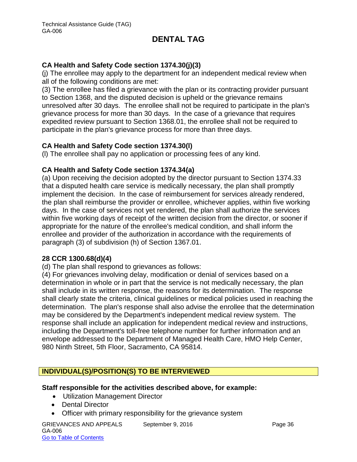#### **CA Health and Safety Code section 1374.30(j)(3)**

(j) The enrollee may apply to the department for an independent medical review when all of the following conditions are met:

(3) The enrollee has filed a grievance with the plan or its contracting provider pursuant to Section 1368, and the disputed decision is upheld or the grievance remains unresolved after 30 days. The enrollee shall not be required to participate in the plan's grievance process for more than 30 days. In the case of a grievance that requires expedited review pursuant to Section 1368.01, the enrollee shall not be required to participate in the plan's grievance process for more than three days.

#### **CA Health and Safety Code section 1374.30(l)**

(l) The enrollee shall pay no application or processing fees of any kind.

#### **CA Health and Safety Code section 1374.34(a)**

(a) Upon receiving the decision adopted by the director pursuant to Section 1374.33 that a disputed health care service is medically necessary, the plan shall promptly implement the decision. In the case of reimbursement for services already rendered, the plan shall reimburse the provider or enrollee, whichever applies, within five working days. In the case of services not yet rendered, the plan shall authorize the services within five working days of receipt of the written decision from the director, or sooner if appropriate for the nature of the enrollee's medical condition, and shall inform the enrollee and provider of the authorization in accordance with the requirements of paragraph (3) of subdivision (h) of Section 1367.01.

#### **28 CCR 1300.68(d)(4)**

(d) The plan shall respond to grievances as follows:

(4) For grievances involving delay, modification or denial of services based on a determination in whole or in part that the service is not medically necessary, the plan shall include in its written response, the reasons for its determination. The response shall clearly state the criteria, clinical guidelines or medical policies used in reaching the determination. The plan's response shall also advise the enrollee that the determination may be considered by the Department's independent medical review system. The response shall include an application for independent medical review and instructions, including the Department's toll-free telephone number for further information and an envelope addressed to the Department of Managed Health Care, HMO Help Center, 980 Ninth Street, 5th Floor, Sacramento, CA 95814.

### **INDIVIDUAL(S)/POSITION(S) TO BE INTERVIEWED**

#### **Staff responsible for the activities described above, for example:**

- Utilization Management Director
- Dental Director
- Officer with primary responsibility for the grievance system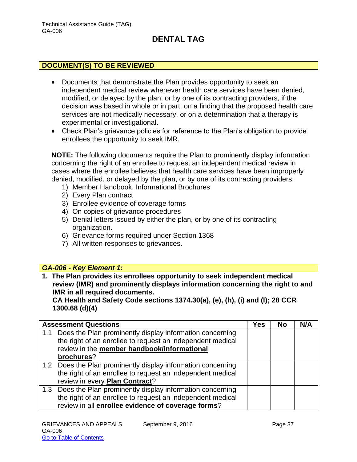### **DOCUMENT(S) TO BE REVIEWED**

- Documents that demonstrate the Plan provides opportunity to seek an independent medical review whenever health care services have been denied, modified, or delayed by the plan, or by one of its contracting providers, if the decision was based in whole or in part, on a finding that the proposed health care services are not medically necessary, or on a determination that a therapy is experimental or investigational.
- Check Plan's grievance policies for reference to the Plan's obligation to provide enrollees the opportunity to seek IMR.

**NOTE:** The following documents require the Plan to prominently display information concerning the right of an enrollee to request an independent medical review in cases where the enrollee believes that health care services have been improperly denied, modified, or delayed by the plan, or by one of its contracting providers:

- 1) Member Handbook, Informational Brochures
- 2) Every Plan contract
- 3) Enrollee evidence of coverage forms
- 4) On copies of grievance procedures
- 5) Denial letters issued by either the plan, or by one of its contracting organization.
- 6) Grievance forms required under Section 1368
- 7) All written responses to grievances.

#### *GA-006 - Key Element 1:*

**1. The Plan provides its enrollees opportunity to seek independent medical review (IMR) and prominently displays information concerning the right to and IMR in all required documents.** 

**CA Health and Safety Code sections 1374.30(a), (e), (h), (i) and (l); 28 CCR 1300.68 (d)(4)**

|     | <b>Assessment Questions</b>                                  | <b>Yes</b> | <b>No</b> | N/A |
|-----|--------------------------------------------------------------|------------|-----------|-----|
| 1.1 | Does the Plan prominently display information concerning     |            |           |     |
|     | the right of an enrollee to request an independent medical   |            |           |     |
|     | review in the member handbook/informational                  |            |           |     |
|     | brochures?                                                   |            |           |     |
|     | 1.2 Does the Plan prominently display information concerning |            |           |     |
|     | the right of an enrollee to request an independent medical   |            |           |     |
|     | review in every Plan Contract?                               |            |           |     |
|     | 1.3 Does the Plan prominently display information concerning |            |           |     |
|     | the right of an enrollee to request an independent medical   |            |           |     |
|     | review in all enrollee evidence of coverage forms?           |            |           |     |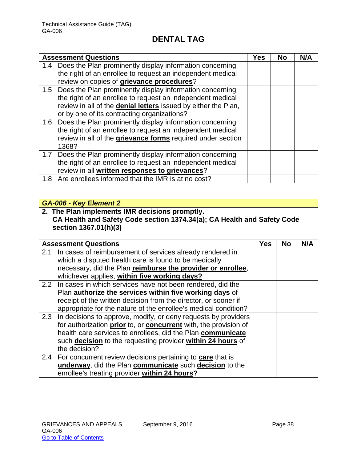|     | <b>Assessment Questions</b>                                           | Yes | Nο | N/A |
|-----|-----------------------------------------------------------------------|-----|----|-----|
|     | 1.4 Does the Plan prominently display information concerning          |     |    |     |
|     | the right of an enrollee to request an independent medical            |     |    |     |
|     | review on copies of grievance procedures?                             |     |    |     |
|     | 1.5 Does the Plan prominently display information concerning          |     |    |     |
|     | the right of an enrollee to request an independent medical            |     |    |     |
|     | review in all of the <b>denial letters</b> issued by either the Plan, |     |    |     |
|     | or by one of its contracting organizations?                           |     |    |     |
| 1.6 | Does the Plan prominently display information concerning              |     |    |     |
|     | the right of an enrollee to request an independent medical            |     |    |     |
|     | review in all of the grievance forms required under section           |     |    |     |
|     | 1368?                                                                 |     |    |     |
|     | 1.7 Does the Plan prominently display information concerning          |     |    |     |
|     | the right of an enrollee to request an independent medical            |     |    |     |
|     | review in all written responses to grievances?                        |     |    |     |
| 1.8 | Are enrollees informed that the IMR is at no cost?                    |     |    |     |

# *GA-006 - Key Element 2*

#### **2. The Plan implements IMR decisions promptly. CA Health and Safety Code section 1374.34(a); CA Health and Safety Code section 1367.01(h)(3)**

|     | <b>Assessment Questions</b>                                      | Yes | <b>No</b> | N/A |
|-----|------------------------------------------------------------------|-----|-----------|-----|
| 2.1 | In cases of reimbursement of services already rendered in        |     |           |     |
|     | which a disputed health care is found to be medically            |     |           |     |
|     | necessary, did the Plan reimburse the provider or enrollee,      |     |           |     |
|     | whichever applies, within five working days?                     |     |           |     |
|     | 2.2 In cases in which services have not been rendered, did the   |     |           |     |
|     | Plan authorize the services within five working days of          |     |           |     |
|     | receipt of the written decision from the director, or sooner if  |     |           |     |
|     | appropriate for the nature of the enrollee's medical condition?  |     |           |     |
| 2.3 | In decisions to approve, modify, or deny requests by providers   |     |           |     |
|     | for authorization prior to, or concurrent with, the provision of |     |           |     |
|     | health care services to enrollees, did the Plan communicate      |     |           |     |
|     | such decision to the requesting provider within 24 hours of      |     |           |     |
|     | the decision?                                                    |     |           |     |
|     | 2.4 For concurrent review decisions pertaining to care that is   |     |           |     |
|     | underway, did the Plan communicate such decision to the          |     |           |     |
|     | enrollee's treating provider within 24 hours?                    |     |           |     |